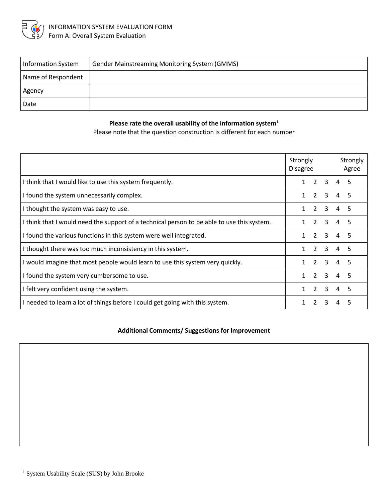

| <b>Information System</b> | <b>Gender Mainstreaming Monitoring System (GMMS)</b> |
|---------------------------|------------------------------------------------------|
| Name of Respondent        |                                                      |
| Agency                    |                                                      |
| Date                      |                                                      |

## **Please rate the overall usability of the information system<sup>1</sup>**

Please note that the question construction is different for each number

|                                                                                            | Strongly<br><b>Disagree</b> |                |                             | Strongly<br>Agree |    |
|--------------------------------------------------------------------------------------------|-----------------------------|----------------|-----------------------------|-------------------|----|
| I think that I would like to use this system frequently.                                   |                             |                | $2 \quad 3 \quad 4 \quad 5$ |                   |    |
| I found the system unnecessarily complex.                                                  |                             | $\mathcal{L}$  | $\mathbf{3}$                | 4                 | 5  |
| I thought the system was easy to use.                                                      | 1                           | $\overline{2}$ | 3                           | 4                 | .5 |
| I think that I would need the support of a technical person to be able to use this system. |                             | $\mathcal{P}$  | 3                           | 4                 | 5  |
| I found the various functions in this system were well integrated.                         |                             |                | $2 \quad 3$                 | 45                |    |
| I thought there was too much inconsistency in this system.                                 |                             |                | $2 \quad 3$                 | 4 <sub>5</sub>    |    |
| I would imagine that most people would learn to use this system very quickly.              |                             | $\mathcal{L}$  | 3                           | $\overline{4}$    | .5 |
| I found the system very cumbersome to use.                                                 |                             | $\mathcal{P}$  | 3                           | $\overline{4}$    | .5 |
| I felt very confident using the system.                                                    |                             | $\overline{2}$ | $\mathbf{R}$                | $\overline{a}$    | 5  |
| I needed to learn a lot of things before I could get going with this system.               |                             | $\mathcal{P}$  | 3                           |                   |    |

## **Additional Comments/ Suggestions for Improvement**

<sup>1</sup> System Usability Scale (SUS) by John Brooke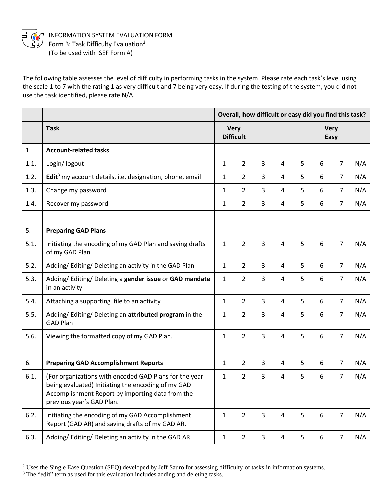

INFORMATION SYSTEM EVALUATION FORM Form B: Task Difficulty Evaluation<sup>2</sup> (To be used with ISEF Form A)

The following table assesses the level of difficulty in performing tasks in the system. Please rate each task's level using the scale 1 to 7 with the rating 1 as very difficult and 7 being very easy. If during the testing of the system, you did not use the task identified, please rate N/A.

|      |                                                                                                                                                                                               | Overall, how difficult or easy did you find this task? |                |                |                         |   |                  |                |     |
|------|-----------------------------------------------------------------------------------------------------------------------------------------------------------------------------------------------|--------------------------------------------------------|----------------|----------------|-------------------------|---|------------------|----------------|-----|
|      | <b>Task</b>                                                                                                                                                                                   | <b>Very</b><br><b>Difficult</b>                        |                |                | <b>Very</b><br>Easy     |   |                  |                |     |
| 1.   | <b>Account-related tasks</b>                                                                                                                                                                  |                                                        |                |                |                         |   |                  |                |     |
| 1.1. | Login/ logout                                                                                                                                                                                 | $\mathbf{1}$                                           | $\overline{2}$ | 3              | $\overline{4}$          | 5 | 6                | $\overline{7}$ | N/A |
| 1.2. | Edit <sup>3</sup> my account details, i.e. designation, phone, email                                                                                                                          | $\mathbf{1}$                                           | $\overline{2}$ | 3              | 4                       | 5 | 6                | $\overline{7}$ | N/A |
| 1.3. | Change my password                                                                                                                                                                            | $\mathbf{1}$                                           | $\overline{2}$ | 3              | 4                       | 5 | 6                | $\overline{7}$ | N/A |
| 1.4. | Recover my password                                                                                                                                                                           | $\mathbf{1}$                                           | $\overline{2}$ | 3              | 4                       | 5 | 6                | $\overline{7}$ | N/A |
|      |                                                                                                                                                                                               |                                                        |                |                |                         |   |                  |                |     |
| 5.   | <b>Preparing GAD Plans</b>                                                                                                                                                                    |                                                        |                |                |                         |   |                  |                |     |
| 5.1. | Initiating the encoding of my GAD Plan and saving drafts<br>of my GAD Plan                                                                                                                    | $\mathbf{1}$                                           | $\overline{2}$ | $\overline{3}$ | $\overline{4}$          | 5 | $\boldsymbol{6}$ | $\overline{7}$ | N/A |
| 5.2. | Adding/ Editing/ Deleting an activity in the GAD Plan                                                                                                                                         | $\mathbf{1}$                                           | $\overline{2}$ | 3              | 4                       | 5 | 6                | $\overline{7}$ | N/A |
| 5.3. | Adding/Editing/Deleting a gender issue or GAD mandate<br>in an activity                                                                                                                       | $\mathbf{1}$                                           | $\overline{2}$ | 3              | $\overline{4}$          | 5 | 6                | $\overline{7}$ | N/A |
| 5.4. | Attaching a supporting file to an activity                                                                                                                                                    | $\mathbf{1}$                                           | $\overline{2}$ | $\overline{3}$ | 4                       | 5 | 6                | $\overline{7}$ | N/A |
| 5.5. | Adding/Editing/Deleting an attributed program in the<br><b>GAD Plan</b>                                                                                                                       | $\mathbf{1}$                                           | $\overline{2}$ | 3              | $\overline{4}$          | 5 | 6                | $\overline{7}$ | N/A |
| 5.6. | Viewing the formatted copy of my GAD Plan.                                                                                                                                                    | $\mathbf{1}$                                           | $\overline{2}$ | $\overline{3}$ | $\overline{4}$          | 5 | $\boldsymbol{6}$ | $\overline{7}$ | N/A |
|      |                                                                                                                                                                                               |                                                        |                |                |                         |   |                  |                |     |
| 6.   | <b>Preparing GAD Accomplishment Reports</b>                                                                                                                                                   | $\mathbf{1}$                                           | $\overline{2}$ | 3              | 4                       | 5 | 6                | $\overline{7}$ | N/A |
| 6.1. | (For organizations with encoded GAD Plans for the year<br>being evaluated) Initiating the encoding of my GAD<br>Accomplishment Report by importing data from the<br>previous year's GAD Plan. | $\mathbf{1}$                                           | $\overline{2}$ | $\overline{3}$ | $\overline{4}$          | 5 | 6                | $\overline{7}$ | N/A |
| 6.2. | Initiating the encoding of my GAD Accomplishment<br>Report (GAD AR) and saving drafts of my GAD AR.                                                                                           | $\mathbf{1}$                                           | $\overline{2}$ | $\mathsf{3}$   | $\overline{\mathbf{4}}$ | 5 | $\boldsymbol{6}$ | $\overline{7}$ | N/A |
| 6.3. | Adding/Editing/Deleting an activity in the GAD AR.                                                                                                                                            | $\mathbf{1}$                                           | $\overline{2}$ | $\mathbf{3}$   | 4                       | 5 | 6                | $\overline{7}$ | N/A |

<sup>&</sup>lt;sup>2</sup> Uses the Single Ease Question (SEQ) developed by Jeff Sauro for assessing difficulty of tasks in information systems.

<sup>&</sup>lt;sup>3</sup> The "edit" term as used for this evaluation includes adding and deleting tasks.